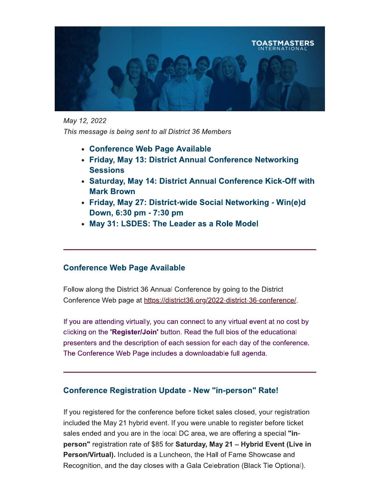

May 12, 2022

This message is being sent to all District 36 Members

- Conference Web Page Available
- Friday, May 13: District Annual Conference Networking **Sessions**
- Saturday, May 14: District Annual Conference Kick-Off with **Mark Brown**
- Friday, May 27: District-wide Social Networking Win(e)d Down, 6:30 pm - 7:30 pm
- May 31: LSDES: The Leader as a Role Model

### **Conference Web Page Available**

Follow along the District 36 Annual Conference by going to the District Conference Web page at https://district36.org/2022-district-36-conference/.

If you are attending virtually, you can connect to any virtual event at no cost by clicking on the 'Register/Join' button. Read the full bios of the educational presenters and the description of each session for each day of the conference. The Conference Web Page includes a downloadable full agenda.

### **Conference Registration Update - New "in-person" Rate!**

If you registered for the conference before ticket sales closed, your registration included the May 21 hybrid event. If you were unable to register before ticket sales ended and you are in the local DC area, we are offering a special "inperson" registration rate of \$85 for Saturday, May 21 - Hybrid Event (Live in Person/Virtual). Included is a Luncheon, the Hall of Fame Showcase and Recognition, and the day closes with a Gala Celebration (Black Tie Optional).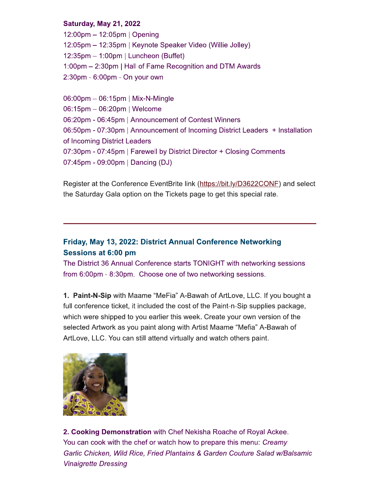#### **Saturday, May 21, 2022**

 $12:00$ pm  $- 12:05$ pm | Opening 12:05pm - 12:35pm | Keynote Speaker Video (Willie Jolley)  $12:35$ pm – 1:00pm | Luncheon (Buffet) 1:00pm – 2:30pm | Hall of Fame Recognition and DTM Awards 2:30pm - 6:00pm - On your own

06:00pm - 06:15pm | Mix-N-Mingle 06:15pm - 06:20pm | Welcome 06:20pm - 06:45pm | Announcement of Contest Winners 06:50pm - 07:30pm | Announcement of Incoming District Leaders + Installation of Incoming District Leaders 07:30pm - 07:45pm | Farewell by District Director + Closing Comments 07:45pm - 09:00pm | Dancing (DJ)

Register at the Conference EventBrite link (https://bit.ly/D3622CONE) and select the Saturday Gala option on the Tickets page to get this special rate.

## Friday, May 13, 2022: District Annual Conference Networking Sessions at 6:00 pm

The District 36 Annual Conference starts TONIGHT with networking sessions from 6:00pm - 8:30pm. Choose one of two networking sessions.

1. Paint-N-Sip with Maame "MeFia" A-Bawah of ArtLove, LLC. If you bought a full conference ticket, it included the cost of the Paint-n-Sip supplies package, which were shipped to you earlier this week. Create your own version of the selected Artwork as you paint along with Artist Maame "Mefia" A-Bawah of ArtLove, LLC. You can still attend virtually and watch others paint.



2. Cooking Demonstration with Chef Nekisha Roache of Royal Ackee. You can cook with the chef or watch how to prepare this menu: Creamy Garlic Chicken, Wild Rice, Fried Plantains & Garden Couture Salad w/Balsamic **Vinaigrette Dressing**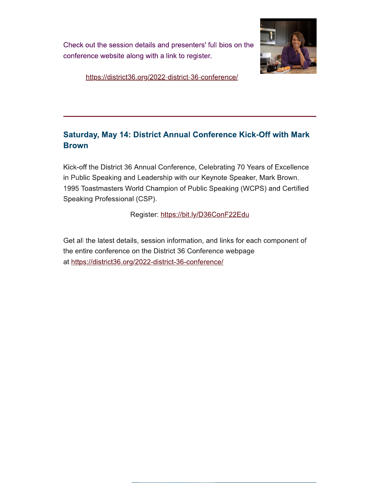Check out the session details and presenters' full bios on the conference website along with a link to register.



https://district36.org/2022-district-36-conference/

# **Saturday, May 14: District Annual Conference Kick-Off with Mark Brown**

Kick-off the District 36 Annual Conference, Celebrating 70 Years of Excellence in Public Speaking and Leadership with our Keynote Speaker, Mark Brown. 1995 Toastmasters World Champion of Public Speaking (WCPS) and Certified Speaking Professional (CSP).

Register: https://bit.ly/D36ConF22Edu

Get all the latest details, session information, and links for each component of the entire conference on the District 36 Conference webpage at https://district36.org/2022-district-36-conference/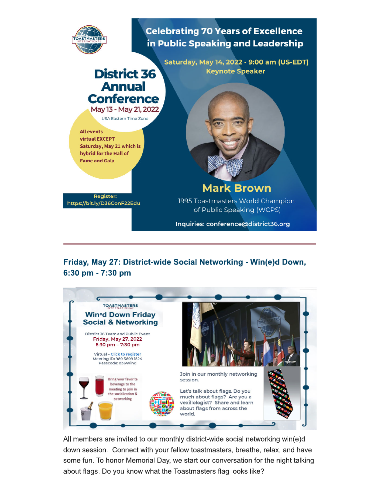

Friday, May 27: District-wide Social Networking - Win(e)d Down, 6:30 pm - 7:30 pm



All members are invited to our monthly district-wide social networking win(e)d down session. Connect with your fellow toastmasters, breathe, relax, and have some fun. To honor Memorial Day, we start our conversation for the night talking about flags. Do you know what the Toastmasters flag looks like?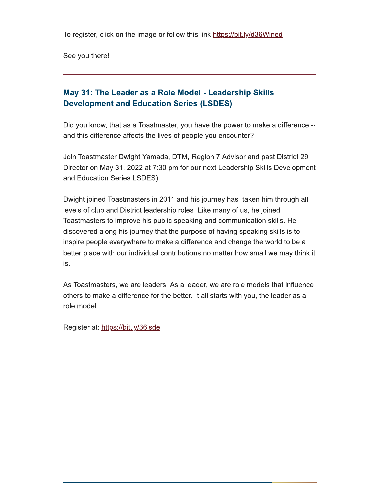To register, click on the image or follow this link https://bit.ly/d36Wined

See you there!

# May 31: The Leader as a Role Model - Leadership Skills **Development and Education Series (LSDES)**

Did you know, that as a Toastmaster, you have the power to make a difference -and this difference affects the lives of people you encounter?

Join Toastmaster Dwight Yamada, DTM, Region 7 Advisor and past District 29 Director on May 31, 2022 at 7:30 pm for our next Leadership Skills Development and Education Series LSDES).

Dwight joined Toastmasters in 2011 and his journey has taken him through all levels of club and District leadership roles. Like many of us, he joined Toastmasters to improve his public speaking and communication skills. He discovered along his journey that the purpose of having speaking skills is to inspire people everywhere to make a difference and change the world to be a better place with our individual contributions no matter how small we may think it is.

As Toastmasters, we are leaders. As a leader, we are role models that influence others to make a difference for the better. It all starts with you, the leader as a role model.

Register at: https://bit.ly/36lsde